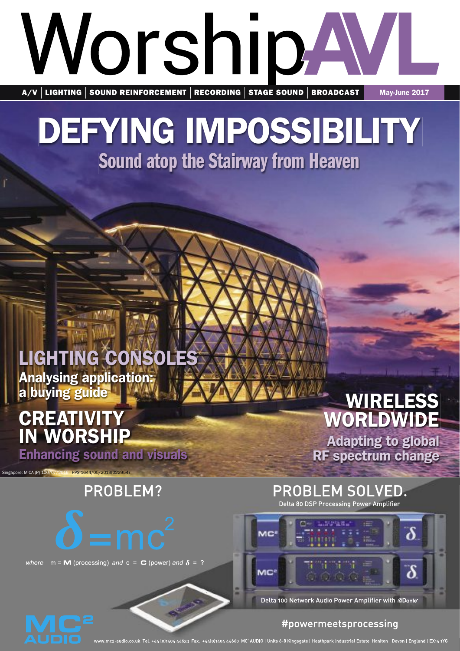# WorshipA A/V | LIGHTING | SOUND REINFORCEMENT | RECORDING | STAGE SOUND | BROADCAST | May-June 2017

# DEFYING IMPOSSIBILITY Sound atop the Stairway from Heaven **SAURE AND SOLUTY**<br>
Sound atop the Stairway from Heaven<br>
LIGHTING CONSOLES<br>
Analysing application<br>
CREATIVITY<br>
IN WORSHIP<br>
Financing sound and visuals<br>
PROBLEM?<br>
PROBLEM?<br>
FINANCHIP PROBLEM SOLVED.<br>
REATIVITY<br>
PROBLEM?<br>
PR Sound atop the Stairway from Heaven<br>
Sound atop the Stairway from Heaven<br>
LIGHTING CONSOLES<br>
Analysing application<br>
Analysing application<br>
CREATIVITY<br>
IN WORSHIP<br>
Enhancing sound and visuals<br>
Alapying guide<br>
Alapying guide WE CREATIVITY<br>
Sound atop the Stairway from Heaven<br>
LIGHTING CONSOLES<br>
Analysing application.<br>
CREATIVITY WORLDWID Adapting to glob<br>
CREATIVITY WORLDWID Adapting to glob<br>
PROBLEM SOLVED.<br>
PROBLEM SOLVED.<br>
PROBLEM SOLVED.<br> the Stairway from Heaven **BCFYING IMPOSSIBILITY**<br>
Sound atop the Stairway from Heaven<br>
LIGHTING CONSOLES<br>
Analysing apple and Solution<br>
CREATIVITY<br>
IN WORKSHIP WORLDWIDE<br>
CREATIVITY<br>
IN WORKSHIP WORLDWIDE<br>
PROBLEM?<br>
PROBLEM SOLVED.<br>  $\frac{1}{\sqrt{2}}$ <br>

Sound atop the Stairway from Heaven

### LIGHTING CONSOLES LIGHTING CONSOLES LIGHTING CONSOLES Analysing application: Analysing application: Analysing application: a buying guide a buying guide a buying guide a

#### **CREATIVITY**<br> **IN WORSHIP**<br>
Enhancing sound and visuals<br>
Enhancing sound and visuals<br>
RF spectrum change **CREATIVITY** IN WORSHIP **IN WORSHIP<br>Enhancing sound and visuals CDEATIVITY UREAIIVIII**

Singapore: MICA (P) 100/07/2016 PPS 1644/05/2013(022954) Singapore: MICA (P) 100/07/2016 PPS 1644/05/2013(022954)



#### WIRELESS WIRELESS **WIREL** WINE<br>MODLDI **WORLDWIDE**

**Adapting to global** RF spectrum change



wave a strong cover. The cover of the cover of the cover of the cover of the cover of the cover of the cover of